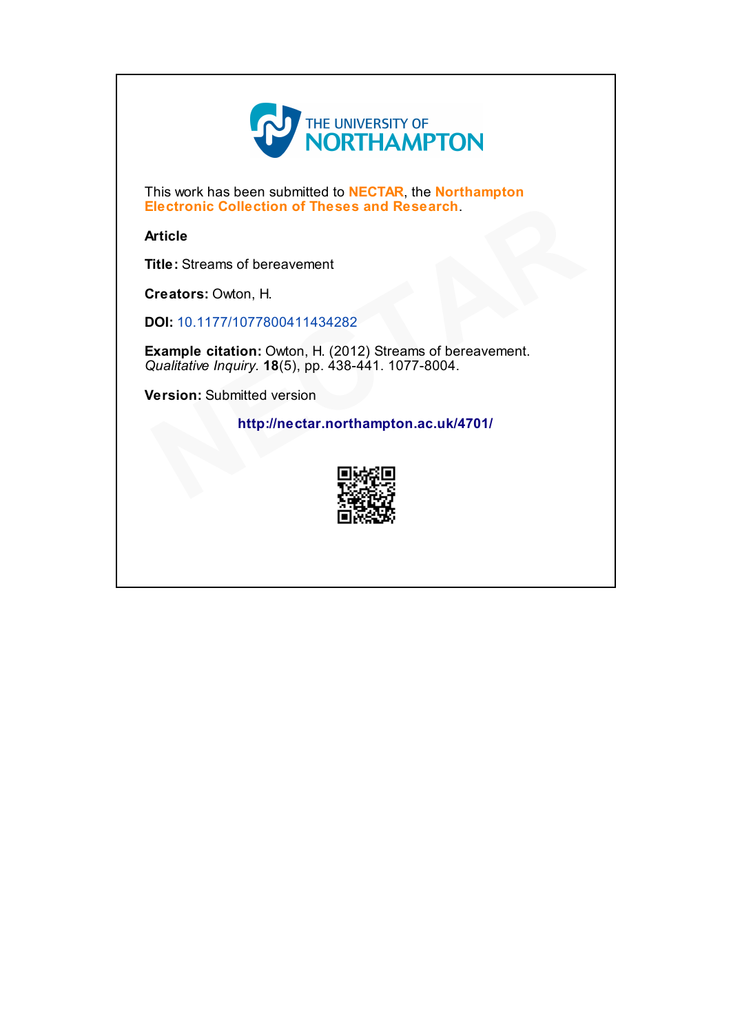

This work has been submitted to NECTAR, the Northampton Electronic Collection of Theses and Research.

Article

Title: Streams of bereavement

Creators: Owton, H.

DOI: 10.1177/1077800411434282

Example citation: Owton, H. (2012) Streams of bereavement. Qualitative Inquiry. 18(5), pp. 438-441. 1077-8004. Electronic Collection of Theses and Research.<br>
Article<br>
Title: Streams of bereavement<br>
Creators: Owton, H.<br>
DOI: 10.1177/1077800411434282<br>
Example citation: Owton, H. (2012) Streams of bereavement.<br>
Qualitative Inquiry. 18

Version: Submitted version

http://nectar.northampton.ac.uk/4701/

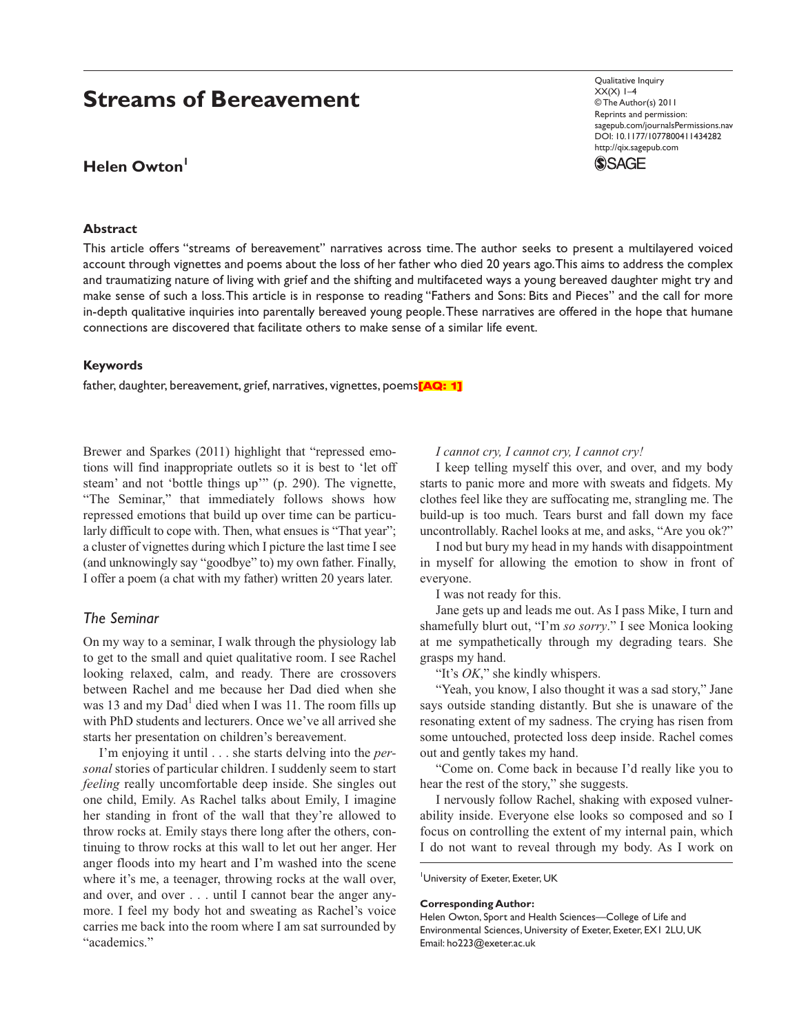# **Streams of Bereavement**

## **Helen Owton**

### **Abstract**

Qualitative Inquiry  $XX(X)$  1–4 © The Author(s) 2011 Reprints and permission: sagepub.com/journalsPermissions.nav DOI: 10.1177/1077800411434282 http://qix.sagepub.com



This article offers "streams of bereavement" narratives across time. The author seeks to present a multilayered voiced account through vignettes and poems about the loss of her father who died 20 years ago. This aims to address the complex and traumatizing nature of living with grief and the shifting and multifaceted ways a young bereaved daughter might try and make sense of such a loss. This article is in response to reading "Fathers and Sons: Bits and Pieces" and the call for more in-depth qualitative inquiries into parentally bereaved young people. These narratives are offered in the hope that humane connections are discovered that facilitate others to make sense of a similar life event.

### **Keywords**

father, daughter, bereavement, grief, narratives, vignettes, poems<sup>[AQ: 1]</sup>

Brewer and Sparkes (2011) highlight that "repressed emotions will find inappropriate outlets so it is best to 'let off steam' and not 'bottle things up'" (p. 290). The vignette, "The Seminar," that immediately follows shows how repressed emotions that build up over time can be particularly difficult to cope with. Then, what ensues is "That year"; a cluster of vignettes during which I picture the last time I see (and unknowingly say "goodbye" to) my own father. Finally, I offer a poem (a chat with my father) written 20 years later.

### *The Seminar*

On my way to a seminar, I walk through the physiology lab to get to the small and quiet qualitative room. I see Rachel looking relaxed, calm, and ready. There are crossovers between Rachel and me because her Dad died when she was 13 and my Dad<sup>1</sup> died when I was 11. The room fills up with PhD students and lecturers. Once we've all arrived she starts her presentation on children's bereavement.

I'm enjoying it until . . . she starts delving into the *personal* stories of particular children. I suddenly seem to start *feeling* really uncomfortable deep inside. She singles out one child, Emily. As Rachel talks about Emily, I imagine her standing in front of the wall that they're allowed to throw rocks at. Emily stays there long after the others, continuing to throw rocks at this wall to let out her anger. Her anger floods into my heart and I'm washed into the scene where it's me, a teenager, throwing rocks at the wall over, and over, and over . . . until I cannot bear the anger anymore. I feel my body hot and sweating as Rachel's voice carries me back into the room where I am sat surrounded by "academics."

### *I cannot cry, I cannot cry, I cannot cry!*

I keep telling myself this over, and over, and my body starts to panic more and more with sweats and fidgets. My clothes feel like they are suffocating me, strangling me. The build-up is too much. Tears burst and fall down my face uncontrollably. Rachel looks at me, and asks, "Are you ok?"

I nod but bury my head in my hands with disappointment in myself for allowing the emotion to show in front of everyone.

I was not ready for this.

Jane gets up and leads me out. As I pass Mike, I turn and shamefully blurt out, "I'm *so sorry*." I see Monica looking at me sympathetically through my degrading tears. She grasps my hand.

"It's *OK*," she kindly whispers.

"Yeah, you know, I also thought it was a sad story," Jane says outside standing distantly. But she is unaware of the resonating extent of my sadness. The crying has risen from some untouched, protected loss deep inside. Rachel comes out and gently takes my hand.

"Come on. Come back in because I'd really like you to hear the rest of the story," she suggests.

I nervously follow Rachel, shaking with exposed vulnerability inside. Everyone else looks so composed and so I focus on controlling the extent of my internal pain, which I do not want to reveal through my body. As I work on

University of Exeter, Exeter, UK

#### **Corresponding Author:**

Helen Owton, Sport and Health Sciences—College of Life and Environmental Sciences, University of Exeter, Exeter, EX1 2LU, UK Email: ho223@exeter.ac.uk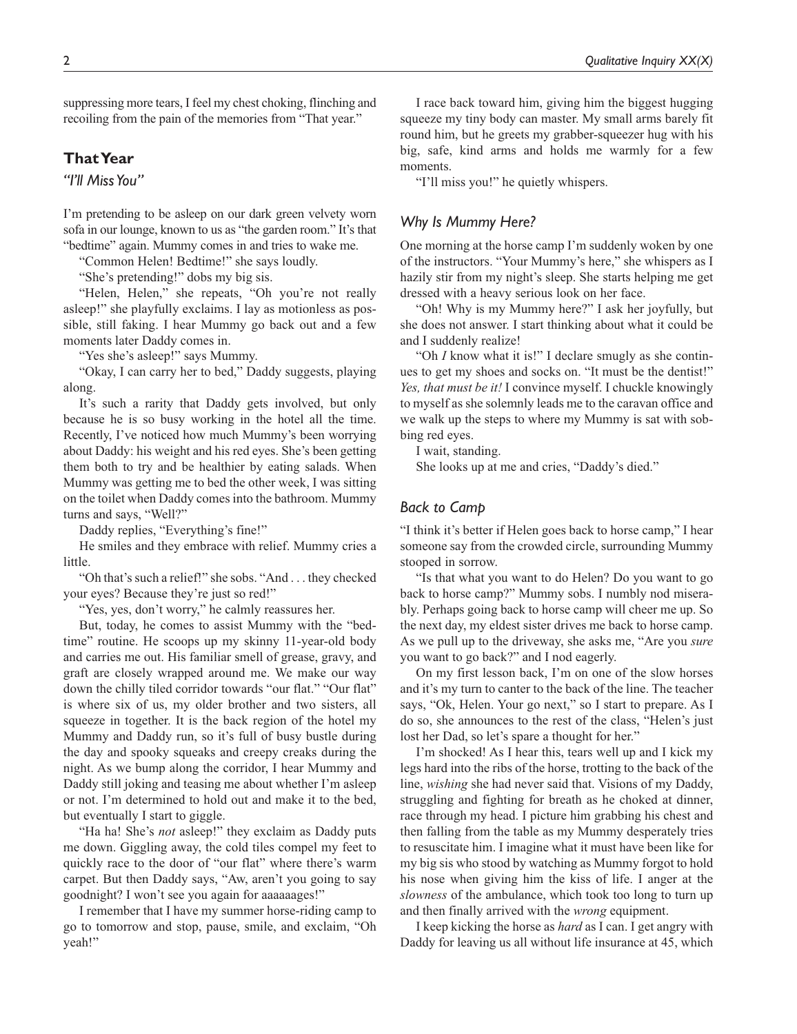suppressing more tears, I feel my chest choking, flinching and recoiling from the pain of the memories from "That year."

### **That Year**

*"I'll Miss You"*

I'm pretending to be asleep on our dark green velvety worn sofa in our lounge, known to us as "the garden room." It's that "bedtime" again. Mummy comes in and tries to wake me.

"Common Helen! Bedtime!" she says loudly.

"She's pretending!" dobs my big sis.

"Helen, Helen," she repeats, "Oh you're not really asleep!" she playfully exclaims. I lay as motionless as possible, still faking. I hear Mummy go back out and a few moments later Daddy comes in.

"Yes she's asleep!" says Mummy.

"Okay, I can carry her to bed," Daddy suggests, playing along.

It's such a rarity that Daddy gets involved, but only because he is so busy working in the hotel all the time. Recently, I've noticed how much Mummy's been worrying about Daddy: his weight and his red eyes. She's been getting them both to try and be healthier by eating salads. When Mummy was getting me to bed the other week, I was sitting on the toilet when Daddy comes into the bathroom. Mummy turns and says, "Well?"

Daddy replies, "Everything's fine!"

He smiles and they embrace with relief. Mummy cries a little.

"Oh that's such a relief!" she sobs. "And . . . they checked your eyes? Because they're just so red!"

"Yes, yes, don't worry," he calmly reassures her.

But, today, he comes to assist Mummy with the "bedtime" routine. He scoops up my skinny 11-year-old body and carries me out. His familiar smell of grease, gravy, and graft are closely wrapped around me. We make our way down the chilly tiled corridor towards "our flat." "Our flat" is where six of us, my older brother and two sisters, all squeeze in together. It is the back region of the hotel my Mummy and Daddy run, so it's full of busy bustle during the day and spooky squeaks and creepy creaks during the night. As we bump along the corridor, I hear Mummy and Daddy still joking and teasing me about whether I'm asleep or not. I'm determined to hold out and make it to the bed, but eventually I start to giggle.

"Ha ha! She's *not* asleep!" they exclaim as Daddy puts me down. Giggling away, the cold tiles compel my feet to quickly race to the door of "our flat" where there's warm carpet. But then Daddy says, "Aw, aren't you going to say goodnight? I won't see you again for aaaaaages!"

I remember that I have my summer horse-riding camp to go to tomorrow and stop, pause, smile, and exclaim, "Oh yeah!"

I race back toward him, giving him the biggest hugging squeeze my tiny body can master. My small arms barely fit round him, but he greets my grabber-squeezer hug with his big, safe, kind arms and holds me warmly for a few moments.

"I'll miss you!" he quietly whispers.

### *Why Is Mummy Here?*

One morning at the horse camp I'm suddenly woken by one of the instructors. "Your Mummy's here," she whispers as I hazily stir from my night's sleep. She starts helping me get dressed with a heavy serious look on her face.

"Oh! Why is my Mummy here?" I ask her joyfully, but she does not answer. I start thinking about what it could be and I suddenly realize!

"Oh *I* know what it is!" I declare smugly as she continues to get my shoes and socks on. "It must be the dentist!" *Yes, that must be it!* I convince myself. I chuckle knowingly to myself as she solemnly leads me to the caravan office and we walk up the steps to where my Mummy is sat with sobbing red eyes.

I wait, standing.

She looks up at me and cries, "Daddy's died."

### *Back to Camp*

"I think it's better if Helen goes back to horse camp," I hear someone say from the crowded circle, surrounding Mummy stooped in sorrow.

"Is that what you want to do Helen? Do you want to go back to horse camp?" Mummy sobs. I numbly nod miserably. Perhaps going back to horse camp will cheer me up. So the next day, my eldest sister drives me back to horse camp. As we pull up to the driveway, she asks me, "Are you *sure* you want to go back?" and I nod eagerly.

On my first lesson back, I'm on one of the slow horses and it's my turn to canter to the back of the line. The teacher says, "Ok, Helen. Your go next," so I start to prepare. As I do so, she announces to the rest of the class, "Helen's just lost her Dad, so let's spare a thought for her."

I'm shocked! As I hear this, tears well up and I kick my legs hard into the ribs of the horse, trotting to the back of the line, *wishing* she had never said that. Visions of my Daddy, struggling and fighting for breath as he choked at dinner, race through my head. I picture him grabbing his chest and then falling from the table as my Mummy desperately tries to resuscitate him. I imagine what it must have been like for my big sis who stood by watching as Mummy forgot to hold his nose when giving him the kiss of life. I anger at the *slowness* of the ambulance, which took too long to turn up and then finally arrived with the *wrong* equipment.

I keep kicking the horse as *hard* as I can. I get angry with Daddy for leaving us all without life insurance at 45, which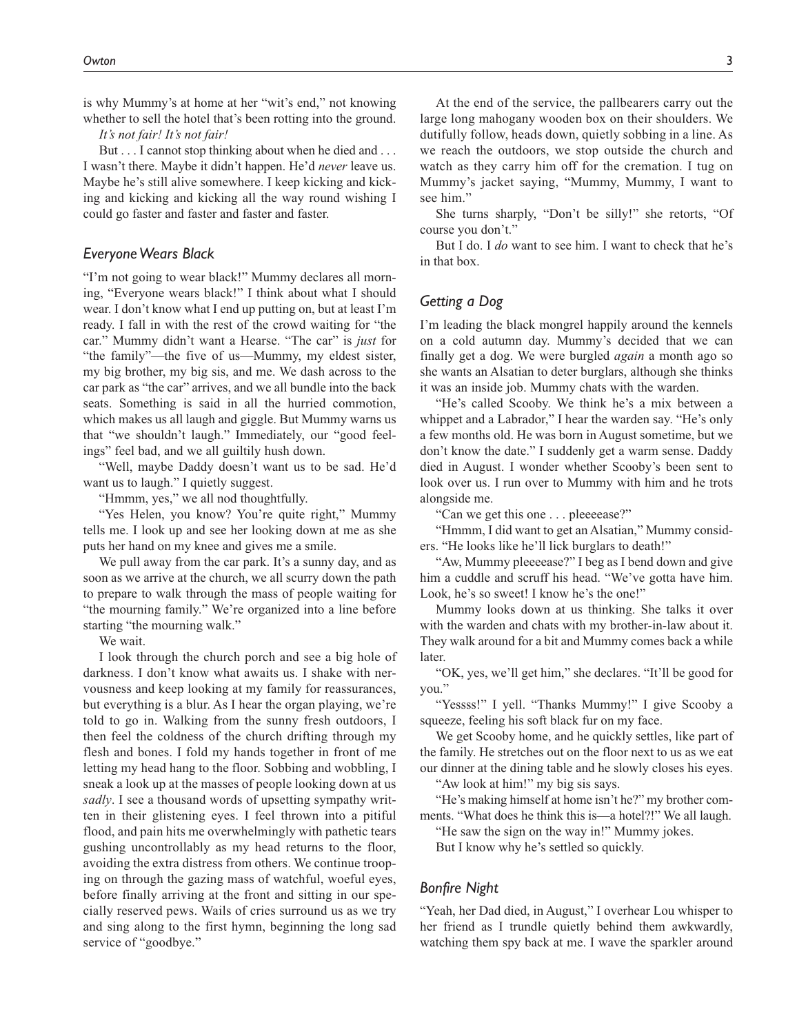is why Mummy's at home at her "wit's end," not knowing whether to sell the hotel that's been rotting into the ground.

*It's not fair! It's not fair!*

But . . . I cannot stop thinking about when he died and . . . I wasn't there. Maybe it didn't happen. He'd *never* leave us. Maybe he's still alive somewhere. I keep kicking and kicking and kicking and kicking all the way round wishing I could go faster and faster and faster and faster.

### *Everyone Wears Black*

"I'm not going to wear black!" Mummy declares all morning, "Everyone wears black!" I think about what I should wear. I don't know what I end up putting on, but at least I'm ready. I fall in with the rest of the crowd waiting for "the car." Mummy didn't want a Hearse. "The car" is *just* for "the family"—the five of us—Mummy, my eldest sister, my big brother, my big sis, and me. We dash across to the car park as "the car" arrives, and we all bundle into the back seats. Something is said in all the hurried commotion, which makes us all laugh and giggle. But Mummy warns us that "we shouldn't laugh." Immediately, our "good feelings" feel bad, and we all guiltily hush down.

"Well, maybe Daddy doesn't want us to be sad. He'd want us to laugh." I quietly suggest.

"Hmmm, yes," we all nod thoughtfully.

"Yes Helen, you know? You're quite right," Mummy tells me. I look up and see her looking down at me as she puts her hand on my knee and gives me a smile.

We pull away from the car park. It's a sunny day, and as soon as we arrive at the church, we all scurry down the path to prepare to walk through the mass of people waiting for "the mourning family." We're organized into a line before starting "the mourning walk."

We wait.

I look through the church porch and see a big hole of darkness. I don't know what awaits us. I shake with nervousness and keep looking at my family for reassurances, but everything is a blur. As I hear the organ playing, we're told to go in. Walking from the sunny fresh outdoors, I then feel the coldness of the church drifting through my flesh and bones. I fold my hands together in front of me letting my head hang to the floor. Sobbing and wobbling, I sneak a look up at the masses of people looking down at us *sadly*. I see a thousand words of upsetting sympathy written in their glistening eyes. I feel thrown into a pitiful flood, and pain hits me overwhelmingly with pathetic tears gushing uncontrollably as my head returns to the floor, avoiding the extra distress from others. We continue trooping on through the gazing mass of watchful, woeful eyes, before finally arriving at the front and sitting in our specially reserved pews. Wails of cries surround us as we try and sing along to the first hymn, beginning the long sad service of "goodbye."

At the end of the service, the pallbearers carry out the large long mahogany wooden box on their shoulders. We dutifully follow, heads down, quietly sobbing in a line. As we reach the outdoors, we stop outside the church and watch as they carry him off for the cremation. I tug on Mummy's jacket saying, "Mummy, Mummy, I want to see him."

She turns sharply, "Don't be silly!" she retorts, "Of course you don't."

But I do. I *do* want to see him. I want to check that he's in that box.

### *Getting a Dog*

I'm leading the black mongrel happily around the kennels on a cold autumn day. Mummy's decided that we can finally get a dog. We were burgled *again* a month ago so she wants an Alsatian to deter burglars, although she thinks it was an inside job. Mummy chats with the warden.

"He's called Scooby. We think he's a mix between a whippet and a Labrador," I hear the warden say. "He's only a few months old. He was born in August sometime, but we don't know the date." I suddenly get a warm sense. Daddy died in August. I wonder whether Scooby's been sent to look over us. I run over to Mummy with him and he trots alongside me.

"Can we get this one . . . pleeeease?"

"Hmmm, I did want to get an Alsatian," Mummy considers. "He looks like he'll lick burglars to death!"

"Aw, Mummy pleeeease?" I beg as I bend down and give him a cuddle and scruff his head. "We've gotta have him. Look, he's so sweet! I know he's the one!"

Mummy looks down at us thinking. She talks it over with the warden and chats with my brother-in-law about it. They walk around for a bit and Mummy comes back a while later.

"OK, yes, we'll get him," she declares. "It'll be good for you."

"Yessss!" I yell. "Thanks Mummy!" I give Scooby a squeeze, feeling his soft black fur on my face.

We get Scooby home, and he quickly settles, like part of the family. He stretches out on the floor next to us as we eat our dinner at the dining table and he slowly closes his eyes.

"Aw look at him!" my big sis says.

"He's making himself at home isn't he?" my brother comments. "What does he think this is—a hotel?!" We all laugh.

"He saw the sign on the way in!" Mummy jokes.

But I know why he's settled so quickly.

### *Bonfire Night*

"Yeah, her Dad died, in August," I overhear Lou whisper to her friend as I trundle quietly behind them awkwardly, watching them spy back at me. I wave the sparkler around